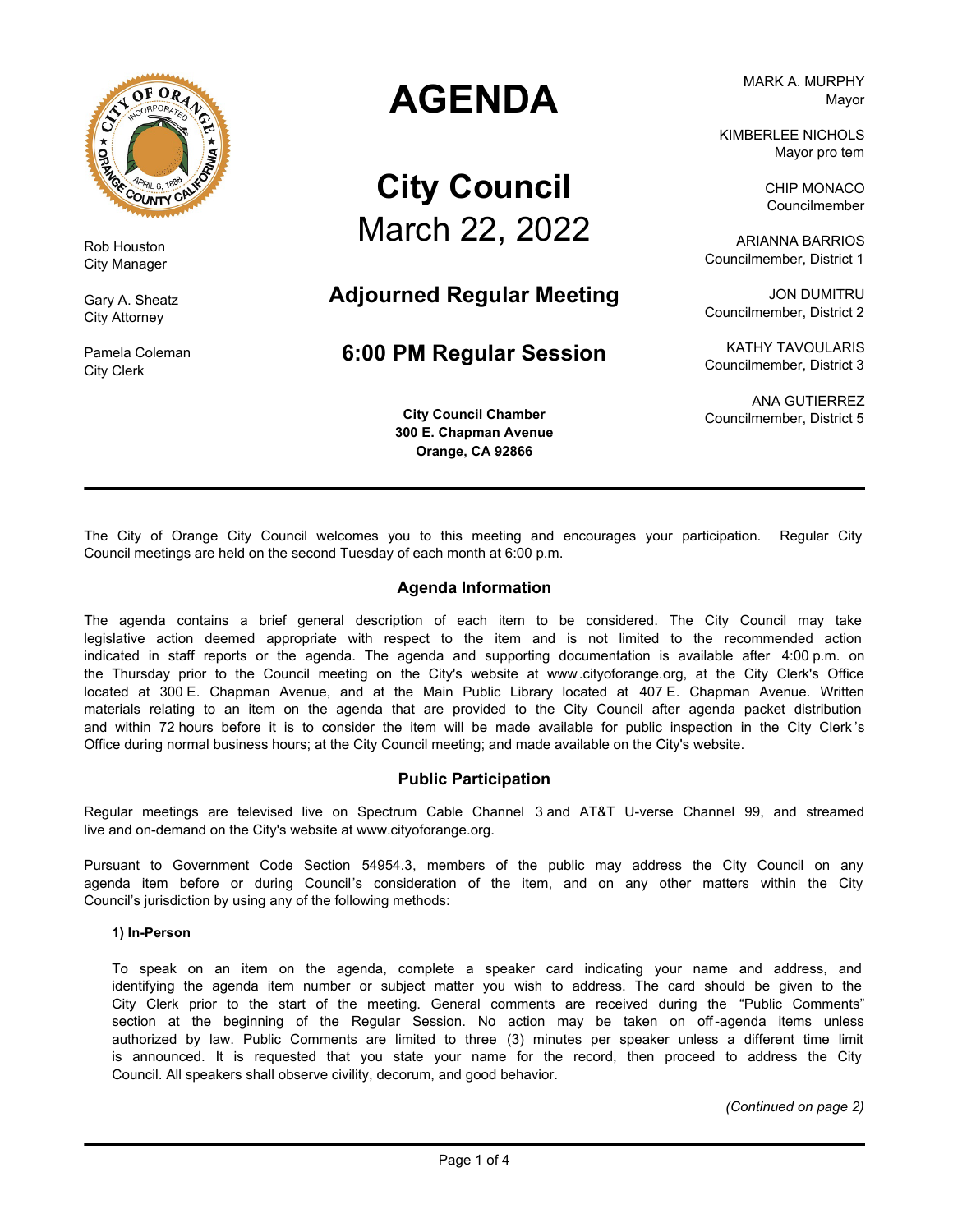

Rob Houston City Manager

Gary A. Sheatz City Attorney

Pamela Coleman City Clerk

# **AGENDA**

# **City Council** March 22, 2022

# **Adjourned Regular Meeting**

# **6:00 PM Regular Session**

**City Council Chamber 300 E. Chapman Avenue Orange, CA 92866**

MARK A. MURPHY Mayor

KIMBERLEE NICHOLS Mayor pro tem

> CHIP MONACO Councilmember

ARIANNA BARRIOS Councilmember, District 1

JON DUMITRU Councilmember, District 2

KATHY TAVOULARIS Councilmember, District 3

ANA GUTIERREZ Councilmember, District 5

The City of Orange City Council welcomes you to this meeting and encourages your participation. Regular City Council meetings are held on the second Tuesday of each month at 6:00 p.m.

### **Agenda Information**

The agenda contains a brief general description of each item to be considered. The City Council may take legislative action deemed appropriate with respect to the item and is not limited to the recommended action indicated in staff reports or the agenda. The agenda and supporting documentation is available after 4:00 p.m. on the Thursday prior to the Council meeting on the City's website at www.cityoforange.org, at the City Clerk's Office located at 300 E. Chapman Avenue, and at the Main Public Library located at 407 E. Chapman Avenue. Written materials relating to an item on the agenda that are provided to the City Council after agenda packet distribution and within 72 hours before it is to consider the item will be made available for public inspection in the City Clerk 's Office during normal business hours; at the City Council meeting; and made available on the City's website.

#### **Public Participation**

Regular meetings are televised live on Spectrum Cable Channel 3 and AT&T U-verse Channel 99, and streamed live and on-demand on the City's website at www.cityoforange.org.

Pursuant to Government Code Section 54954.3, members of the public may address the City Council on any agenda item before or during Council's consideration of the item, and on any other matters within the City Council's jurisdiction by using any of the following methods:

#### **1) In-Person**

To speak on an item on the agenda, complete a speaker card indicating your name and address, and identifying the agenda item number or subject matter you wish to address. The card should be given to the City Clerk prior to the start of the meeting. General comments are received during the "Public Comments" section at the beginning of the Regular Session. No action may be taken on off-agenda items unless authorized by law. Public Comments are limited to three (3) minutes per speaker unless a different time limit is announced. It is requested that you state your name for the record, then proceed to address the City Council. All speakers shall observe civility, decorum, and good behavior.

*(Continued on page 2)*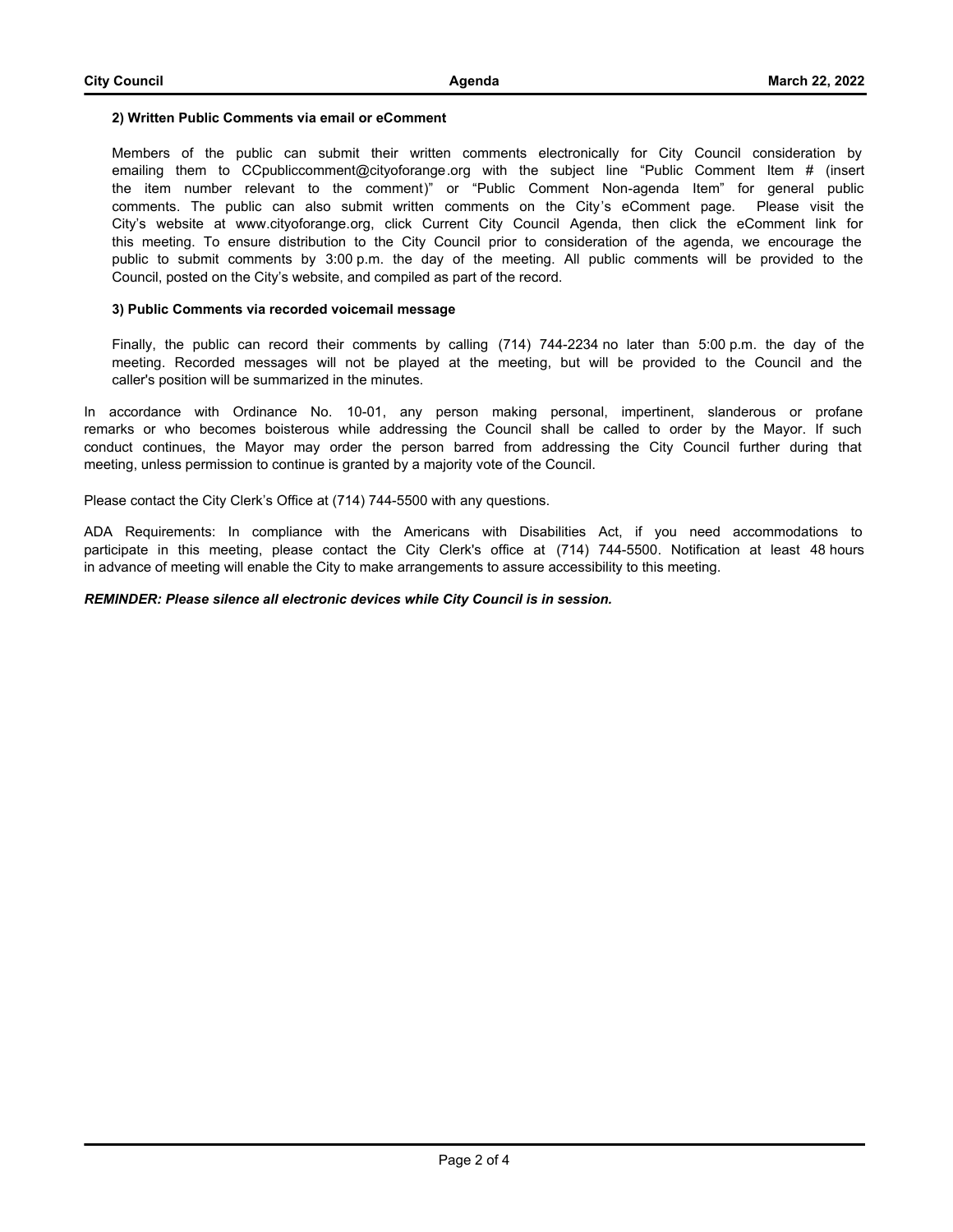#### **2) Written Public Comments via email or eComment**

Members of the public can submit their written comments electronically for City Council consideration by emailing them to CCpubliccomment@cityoforange.org with the subject line "Public Comment Item # (insert the item number relevant to the comment)" or "Public Comment Non-agenda Item" for general public comments. The public can also submit written comments on the City's eComment page. Please visit the City's website at www.cityoforange.org, click Current City Council Agenda, then click the eComment link for this meeting. To ensure distribution to the City Council prior to consideration of the agenda, we encourage the public to submit comments by 3:00 p.m. the day of the meeting. All public comments will be provided to the Council, posted on the City's website, and compiled as part of the record.

#### **3) Public Comments via recorded voicemail message**

Finally, the public can record their comments by calling (714) 744-2234 no later than 5:00 p.m. the day of the meeting. Recorded messages will not be played at the meeting, but will be provided to the Council and the caller's position will be summarized in the minutes.

In accordance with Ordinance No. 10-01, any person making personal, impertinent, slanderous or profane remarks or who becomes boisterous while addressing the Council shall be called to order by the Mayor. If such conduct continues, the Mayor may order the person barred from addressing the City Council further during that meeting, unless permission to continue is granted by a majority vote of the Council.

Please contact the City Clerk's Office at (714) 744-5500 with any questions.

ADA Requirements: In compliance with the Americans with Disabilities Act, if you need accommodations to participate in this meeting, please contact the City Clerk's office at (714) 744-5500. Notification at least 48 hours in advance of meeting will enable the City to make arrangements to assure accessibility to this meeting.

#### *REMINDER: Please silence all electronic devices while City Council is in session.*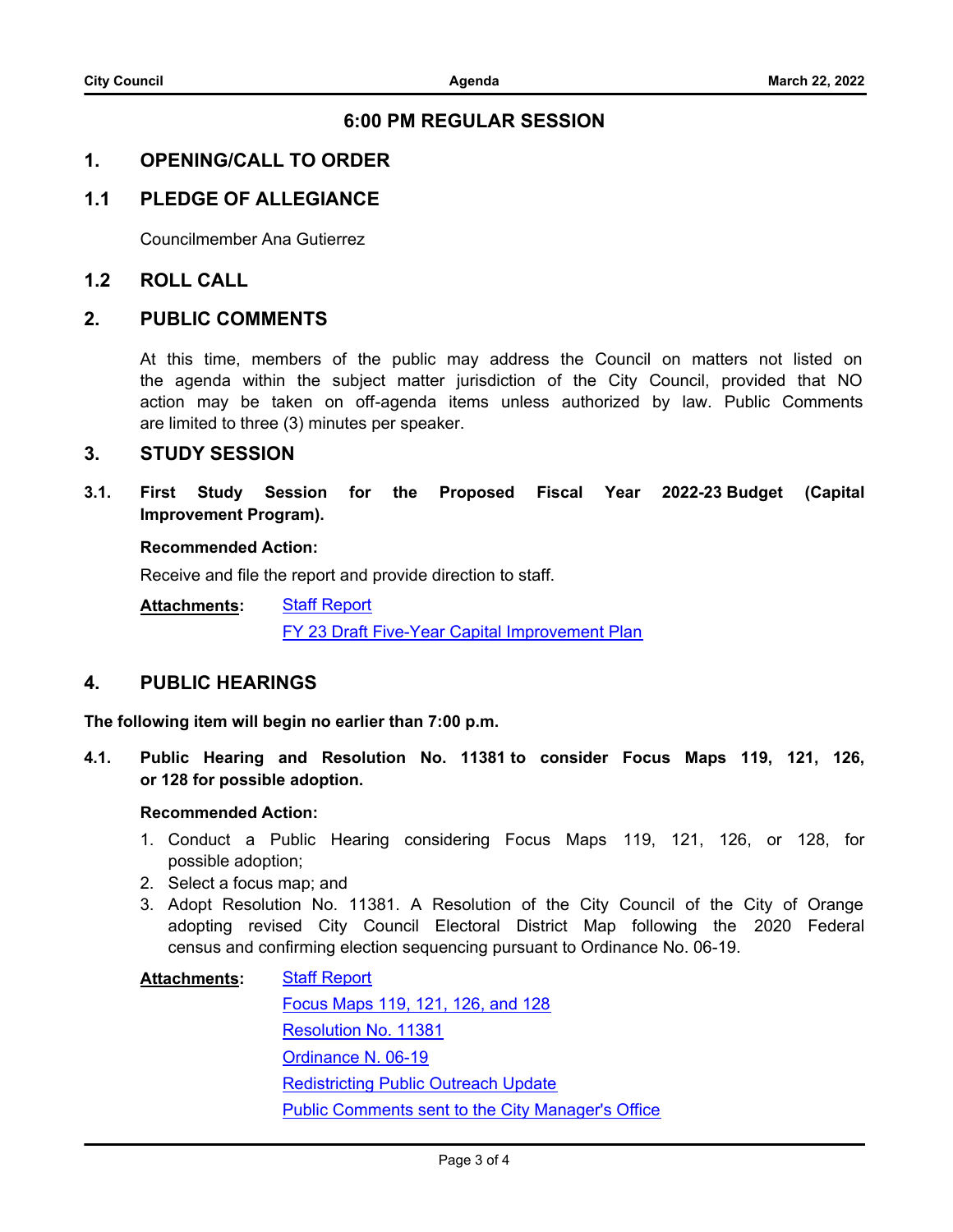# **6:00 PM REGULAR SESSION**

# **1. OPENING/CALL TO ORDER**

# **1.1 PLEDGE OF ALLEGIANCE**

Councilmember Ana Gutierrez

## **1.2 ROLL CALL**

## **2. PUBLIC COMMENTS**

At this time, members of the public may address the Council on matters not listed on the agenda within the subject matter jurisdiction of the City Council, provided that NO action may be taken on off-agenda items unless authorized by law. Public Comments are limited to three (3) minutes per speaker.

## **3. STUDY SESSION**

**3.1. [First Study Session for the Proposed Fiscal Year 2022-23 Budget](http://cityoforange.legistar.com/gateway.aspx?m=l&id=/matter.aspx?key=2542) (Capital Improvement Program).**

#### **Recommended Action:**

Receive and file the report and provide direction to staff.

[Staff Report](http://cityoforange.legistar.com/gateway.aspx?M=F&ID=6c38f45e-b0d3-43b4-bc77-540640395301.pdf) **Attachments:**

[FY 23 Draft Five-Year Capital Improvement Plan](https://citydocs.cityoforange.org/WebLink/DocView.aspx?id=244216242&dbid=0&repo=CityofOrange)

## **4. PUBLIC HEARINGS**

**The following item will begin no earlier than 7:00 p.m.**

**4.1. [Public Hearing and Resolution No. 11381 to consider Focus Maps 119,](http://cityoforange.legistar.com/gateway.aspx?m=l&id=/matter.aspx?key=2565) 121, 126, or 128 for possible adoption.**

#### **Recommended Action:**

- 1. Conduct a Public Hearing considering Focus Maps 119, 121, 126, or 128, for possible adoption;
- 2. Select a focus map; and
- 3. Adopt Resolution No. 11381. A Resolution of the City Council of the City of Orange adopting revised City Council Electoral District Map following the 2020 Federal census and confirming election sequencing pursuant to Ordinance No. 06-19.

[Staff Report](http://cityoforange.legistar.com/gateway.aspx?M=F&ID=46eb75d6-b2bf-4f27-ab15-d429079c2bbd.pdf) [Focus Maps 119, 121, 126, and 128](http://cityoforange.legistar.com/gateway.aspx?M=F&ID=359fa116-11ef-418c-8893-d51e7dbfa5de.pdf) [Resolution No. 11381](http://cityoforange.legistar.com/gateway.aspx?M=F&ID=55b3f1bc-f173-47a3-be6c-cee934085c27.pdf) [Ordinance N. 06-19](http://cityoforange.legistar.com/gateway.aspx?M=F&ID=0a7b94ab-7f87-4cb0-97d2-f4fff035f395.pdf) [Redistricting Public Outreach Update](http://cityoforange.legistar.com/gateway.aspx?M=F&ID=8967ffc0-cf35-45c9-91dc-4eae5b17280f.pdf) [Public Comments sent to the City Manager's Office](http://cityoforange.legistar.com/gateway.aspx?M=F&ID=86be7e0c-a799-41e1-9167-2e73cee02663.pdf) **Attachments:**